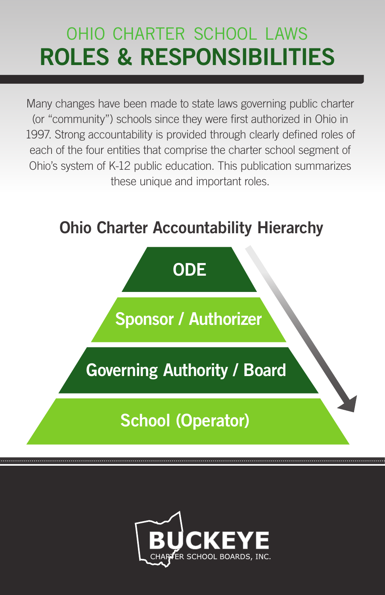# ohio charter school laws ROLES & RESPONSIBILITIES

Many changes have been made to state laws governing public charter (or "community") schools since they were first authorized in Ohio in 1997. Strong accountability is provided through clearly defined roles of each of the four entities that comprise the charter school segment of Ohio's system of K-12 public education. This publication summarizes these unique and important roles.

## Ohio Charter Accountability Hierarchy



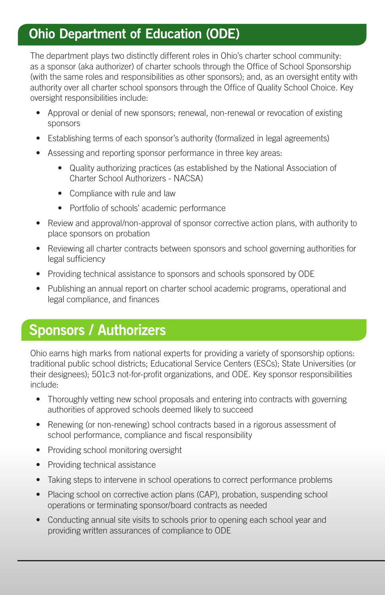#### **Ohio Department of Education (ODE)**

The department plays two distinctly different roles in Ohio's charter school community: as a sponsor (aka authorizer) of charter schools through the Office of School Sponsorship (with the same roles and responsibilities as other sponsors); and, as an oversight entity with authority over all charter school sponsors through the Office of Quality School Choice. Key oversight responsibilities include:

- Approval or denial of new sponsors; renewal, non-renewal or revocation of existing sponsors
- Establishing terms of each sponsor's authority (formalized in legal agreements)
- Assessing and reporting sponsor performance in three key areas:
	- Quality authorizing practices (as established by the National Association of Charter School Authorizers - NACSA)
	- Compliance with rule and law
	- Portfolio of schools' academic performance
- Review and approval/non-approval of sponsor corrective action plans, with authority to place sponsors on probation
- Reviewing all charter contracts between sponsors and school governing authorities for legal sufficiency
- Providing technical assistance to sponsors and schools sponsored by ODE
- Publishing an annual report on charter school academic programs, operational and legal compliance, and finances

## **Sponsors / Authorizers**

Ohio earns high marks from national experts for providing a variety of sponsorship options: traditional public school districts; Educational Service Centers (ESCs); State Universities (or their designees); 501c3 not-for-profit organizations, and ODE. Key sponsor responsibilities include:

- Thoroughly vetting new school proposals and entering into contracts with governing authorities of approved schools deemed likely to succeed
- Renewing (or non-renewing) school contracts based in a rigorous assessment of school performance, compliance and fiscal responsibility
- Providing school monitoring oversight
- Providing technical assistance
- Taking steps to intervene in school operations to correct performance problems
- Placing school on corrective action plans (CAP), probation, suspending school operations or terminating sponsor/board contracts as needed
- Conducting annual site visits to schools prior to opening each school year and providing written assurances of compliance to ODE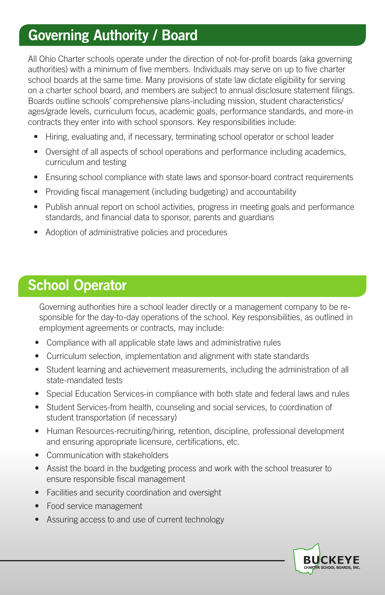### **Governing Authority / Board**

All Ohio Charter schools operate under the direction of not-for-profit boards (aka governing authorities) with a minimum of five members. Individuals may serve on up to five charter school boards at the same time. Many provisions of state law dictate eligibility for serving on a charter school board, and members are subject to annual disclosure statement filings. Boards outline schools' comprehensive plans-including mission, student characteristics/ ages/grade levels, curriculum focus, academic goals, performance standards, and more-in contracts they enter into with school sponsors. Key responsibilities include:

- Hiring, evaluating and, if necessary, terminating school operator or school leader
- Oversight of all aspects of school operations and performance including academics, curriculum and testing
- Ensuring school compliance with state laws and sponsor-board contract requirements
- Providing fiscal management (including budgeting) and accountability
- Publish annual report on school activities, progress in meeting goals and performance standards, and financial data to sponsor, parents and guardians
- Adoption of administrative policies and procedures

#### **School Operator**

Governing authorities hire a school leader directly or a management company to be responsible for the day-to-day operations of the school. Key responsibilities, as outlined in employment agreements or contracts, may include:

- Compliance with all applicable state laws and administrative rules
- Curriculum selection, implementation and alignment with state standards
- Student learning and achievement measurements, including the administration of all state-mandated tests
- Special Education Services-in compliance with both state and federal laws and rules
- Student Services-from health, counseling and social services, to coordination of student transportation (if necessary)
- Human Resources-recruiting/hiring, retention, discipline, professional development and ensuring appropriate licensure, certifications, etc.
- Communication with stakeholders
- Assist the board in the budgeting process and work with the school treasurer to ensure responsible fiscal management
- Facilities and security coordination and oversight
- Food service management
- Assuring access to and use of current technology